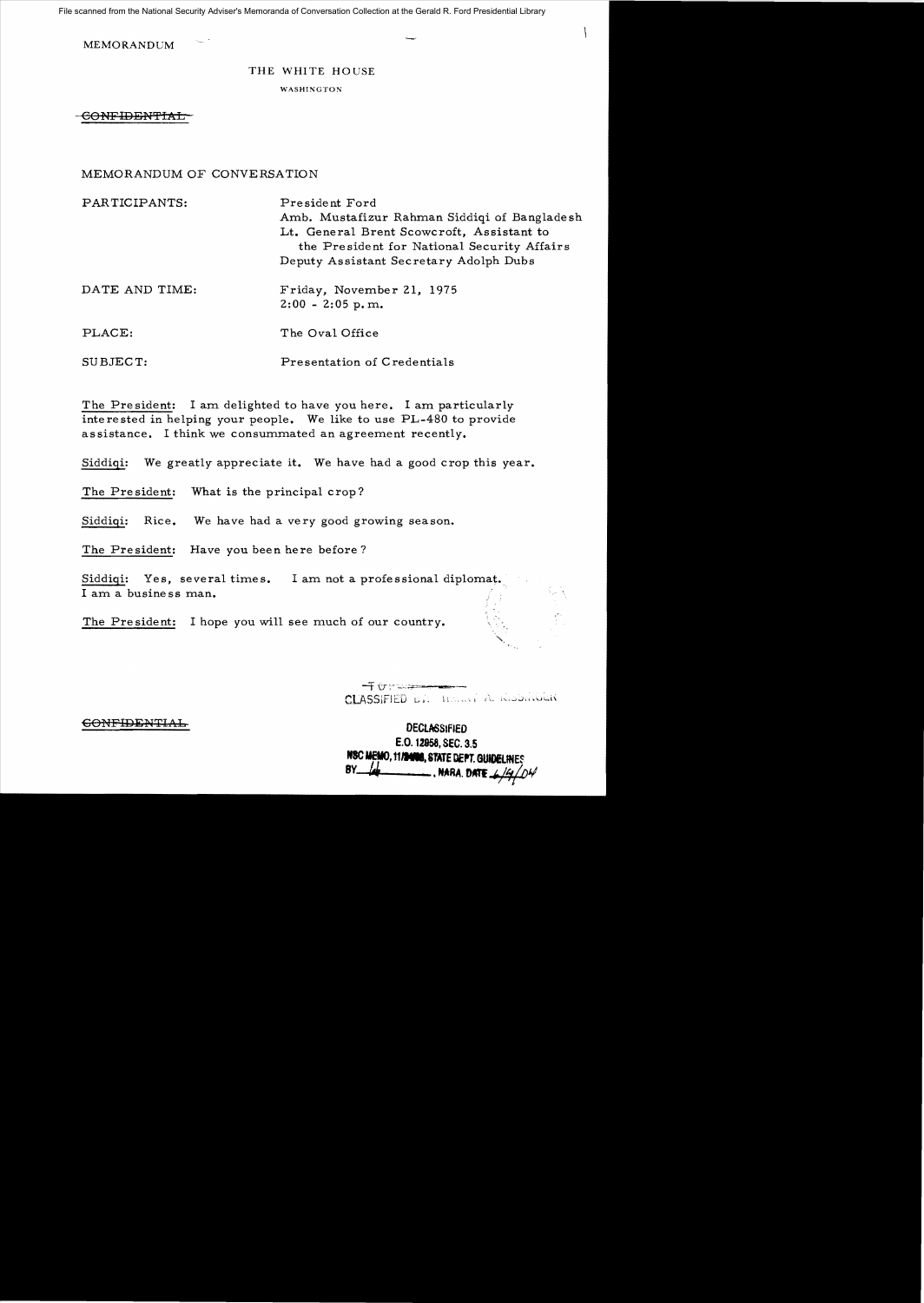File scanned from the National Security Adviser's Memoranda of Conversation Collection at the Gerald R. Ford Presidential Library

**MEMORANDUM** 

## THE WHITE HOUSE

WASHINGTON

CONFIDENTIAL

## MEMORANDUM OF CONVERSATION

| PARTICIPANTS:  | President Ford<br>Amb. Mustafizur Rahman Siddiqi of Bangladesh<br>Lt. General Brent Scowcroft, Assistant to<br>the President for National Security Affairs<br>Deputy Assistant Secretary Adolph Dubs |
|----------------|------------------------------------------------------------------------------------------------------------------------------------------------------------------------------------------------------|
| DATE AND TIME: | Friday, November 21, 1975<br>$2:00 - 2:05$ p.m.                                                                                                                                                      |
| PLACE:         | The Oval Office                                                                                                                                                                                      |

Presentation of Credentials SUBJECT:

The President: I am delighted to have you here. I am particularly interested in helping your people. We like to use PL-480 to provide assistance. I think we consummated an agreement recently.

Siddiqi: We greatly appreciate it. We have had a good crop this year.

The President: What is the principal crop?

Rice. We have had a very good growing season. Siddigi:

The President: Have you been here before?

Siddiqi: Yes, several times. I am not a professional diplomat. I am a business man.

The President: I hope you will see much of our country.

CLASSIFIED D.I. HERRY A. RISSINGER  $\mathcal{L}$ 

**DECLASSIFIED** E.O. 12958, SEC. 3.5 NSC MEMO, 11/24/08, STATE DEPT, GUIDE  $BY$ NARA DATE

## **CONFIDENTIAL**